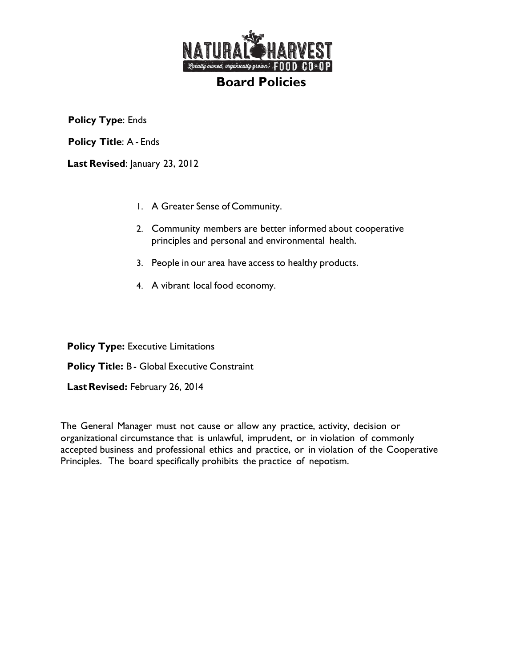

**Policy Type**: Ends

**Policy Title**: A - Ends

Last Revised: January 23, 2012

- 1. A Greater Sense of Community.
- 2. Community members are better informed about cooperative principles and personal and environmental health.
- 3. People in our area have access to healthy products.
- 4. A vibrant local food economy.

**Policy Type: Executive Limitations** 

**Policy Title:** B - Global Executive Constraint

Last Revised: February 26, 2014

The General Manager must not cause or allow any practice, activity, decision or organizational circumstance that is unlawful, imprudent, or in violation of commonly accepted business and professional ethics and practice, or in violation of the Cooperative Principles. The board specifically prohibits the practice of nepotism.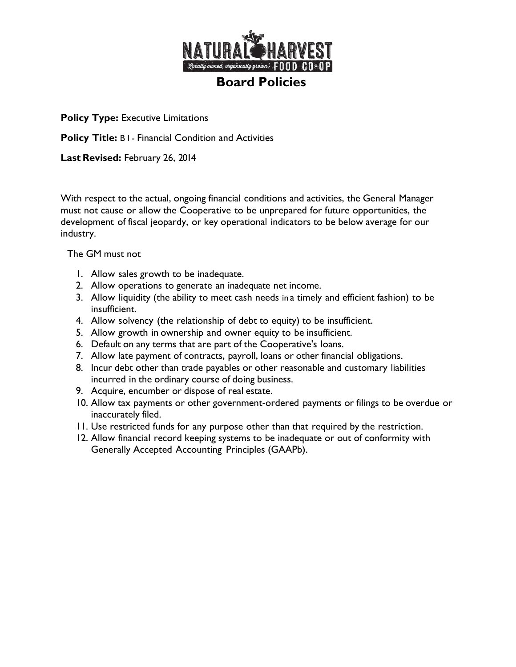

**Policy Title:** B l - Financial Condition and Activities

**Last Revised:** February 26, 2014

With respect to the actual, ongoing financial conditions and activities, the General Manager must not cause or allow the Cooperative to be unprepared for future opportunities, the development of fiscal jeopardy, or key operational indicators to be below average for our industry.

The GM must not

- 1. Allow sales growth to be inadequate.
- 2. Allow operations to generate an inadequate net income.
- 3. Allow liquidity (the ability to meet cash needs in a timely and efficient fashion) to be insufficient.
- 4. Allow solvency (the relationship of debt to equity) to be insufficient.
- 5. Allow growth in ownership and owner equity to be insufficient.
- 6. Default on any terms that are part of the Cooperative's loans.
- 7. Allow late payment of contracts, payroll, loans or other financial obligations.
- 8. Incur debt other than trade payables or other reasonable and customary liabilities incurred in the ordinary course of doing business.
- 9. Acquire, encumber or dispose of real estate.
- 10. Allow tax payments or other government-ordered payments or filings to be overdue or inaccurately filed.
- 11. Use restricted funds for any purpose other than that required by the restriction.
- 12. Allow financial record keeping systems to be inadequate or out of conformity with Generally Accepted Accounting Principles (GAAPb).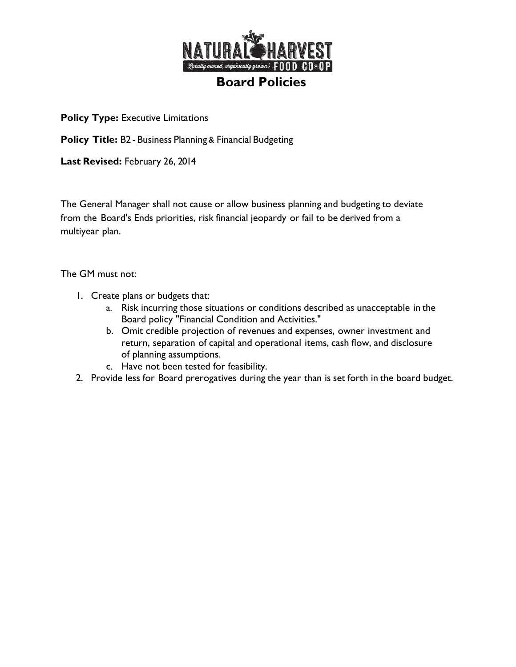

**Policy Title: B2 - Business Planning & Financial Budgeting** 

**Last Revised:** February 26, 2014

The General Manager shall not cause or allow business planning and budgeting to deviate from the Board's Ends priorities, risk financial jeopardy or fail to be derived from a multiyear plan.

The GM must not:

- 1. Create plans or budgets that:
	- a. Risk incurring those situations or conditions described as unacceptable in the Board policy "Financial Condition and Activities."
	- b. Omit credible projection of revenues and expenses, owner investment and return, separation of capital and operational items, cash flow, and disclosure of planning assumptions.
	- c. Have not been tested for feasibility.
- 2. Provide less for Board prerogatives during the year than is set forth in the board budget.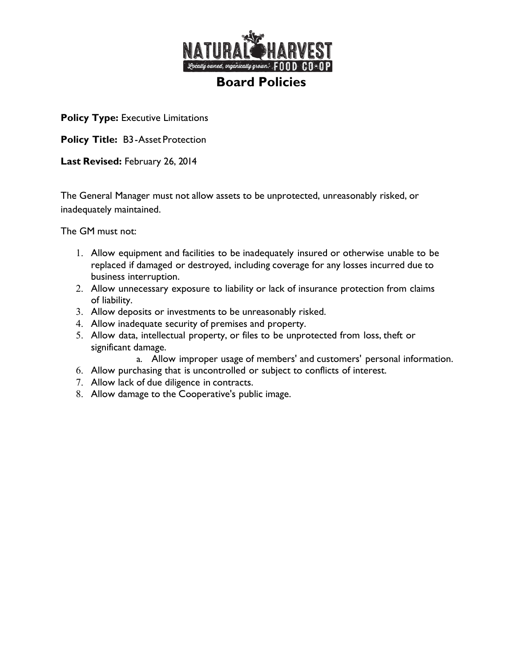

**Policy Title:** B3- Asset Protection

**Last Revised:** February 26, 2014

The General Manager must not allow assets to be unprotected, unreasonably risked, or inadequately maintained.

The GM must not:

- 1. Allow equipment and facilities to be inadequately insured or otherwise unable to be replaced if damaged or destroyed, including coverage for any losses incurred due to business interruption.
- 2. Allow unnecessary exposure to liability or lack of insurance protection from claims of liability.
- 3. Allow deposits or investments to be unreasonably risked.
- 4. Allow inadequate security of premises and property.
- 5. Allow data, intellectual property, or files to be unprotected from loss, theft or significant damage.

a. Allow improper usage of members' and customers' personal information.

- 6. Allow purchasing that is uncontrolled or subject to conflicts of interest.
- 7. Allow lack of due diligence in contracts.
- 8. Allow damage to the Cooperative's public image.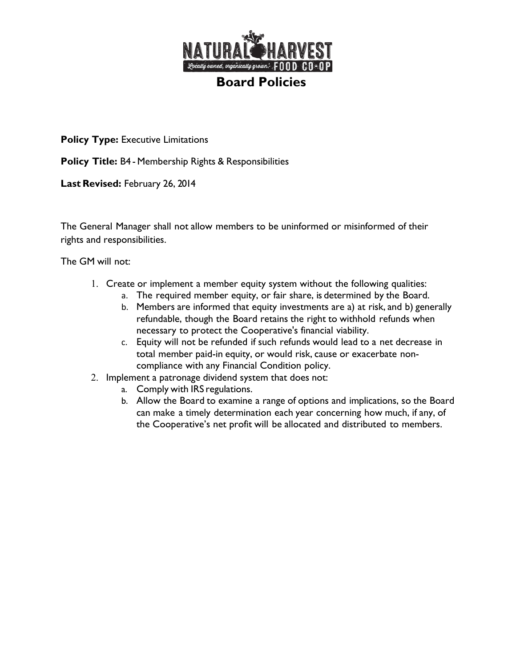

**Policy Title:** B4 - Membership Rights & Responsibilities

**Last Revised:** February 26, 2014

The General Manager shall not allow members to be uninformed or misinformed of their rights and responsibilities.

The GM will not:

- 1. Create or implement a member equity system without the following qualities:
	- a. The required member equity, or fair share, is determined by the Board.
	- b. Members are informed that equity investments are a) at risk, and b) generally refundable, though the Board retains the right to withhold refunds when necessary to protect the Cooperative's financial viability.
	- c. Equity will not be refunded if such refunds would lead to a net decrease in total member paid-in equity, or would risk, cause or exacerbate noncompliance with any Financial Condition policy.
- 2. Implement a patronage dividend system that does not:
	- a. Comply with IRS regulations.
	- b. Allow the Board to examine a range of options and implications, so the Board can make a timely determination each year concerning how much, if any, of the Cooperative's net profit will be allocated and distributed to members.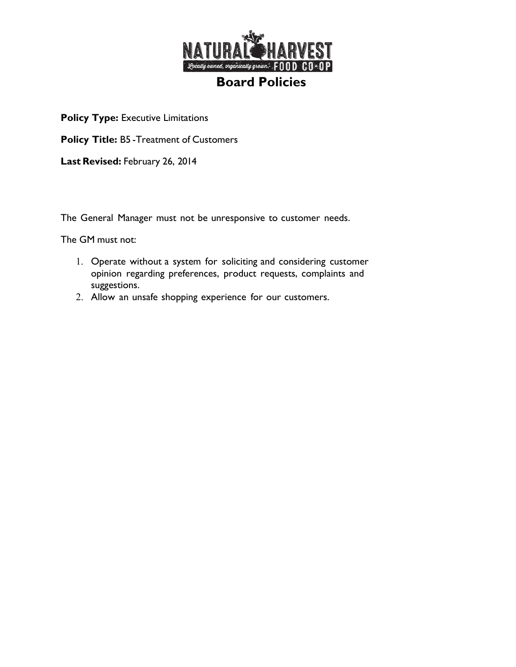

**Policy Title:** B5 -Treatment of Customers

**Last Revised:** February 26, 2014

The General Manager must not be unresponsive to customer needs.

The GM must not:

- 1. Operate without a system for soliciting and considering customer opinion regarding preferences, product requests, complaints and suggestions.
- 2. Allow an unsafe shopping experience for our customers.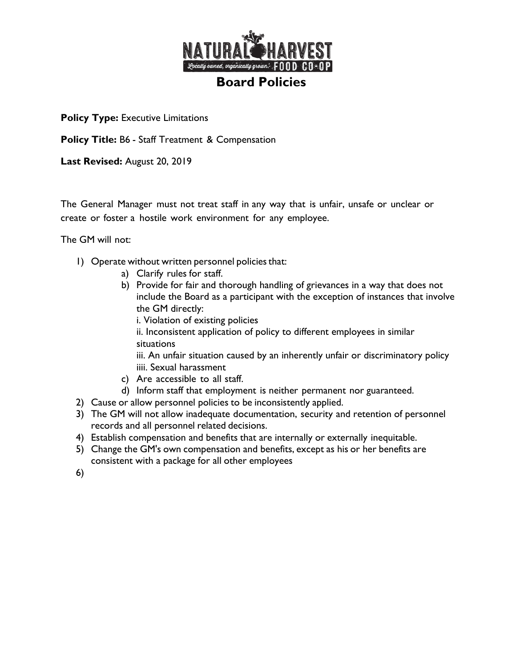

**Policy Title:** B6 - Staff Treatment & Compensation

**Last Revised:** August 20, 2019

The General Manager must not treat staff in any way that is unfair, unsafe or unclear or create or foster a hostile work environment for any employee.

The GM will not:

- 1) Operate without written personnel policies that:
	- a) Clarify rules for staff.
	- b) Provide for fair and thorough handling of grievances in a way that does not include the Board as a participant with the exception of instances that involve the GM directly:
		- i. Violation of existing policies

ii. Inconsistent application of policy to different employees in similar situations

iii. An unfair situation caused by an inherently unfair or discriminatory policy iiii. Sexual harassment

- c) Are accessible to all staff.
- d) Inform staff that employment is neither permanent nor guaranteed.
- 2) Cause or allow personnel policies to be inconsistently applied.
- 3) The GM will not allow inadequate documentation, security and retention of personnel records and all personnel related decisions.
- 4) Establish compensation and benefits that are internally or externally inequitable.
- 5) Change the GM's own compensation and benefits, except as his or her benefits are consistent with a package for all other employees

6)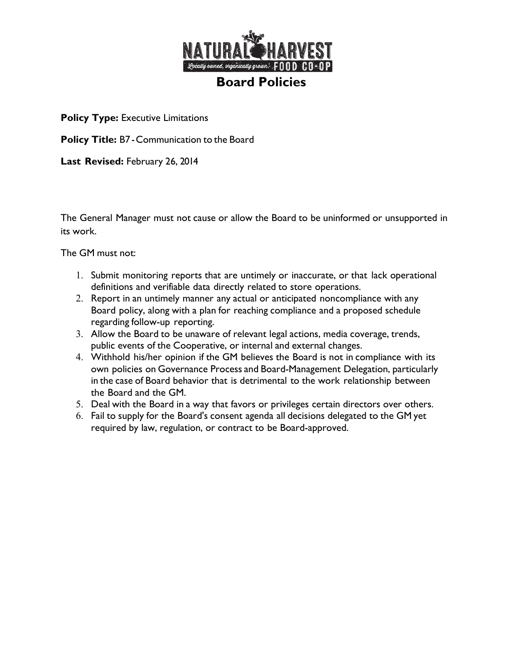

**Policy Title:** B7 -Communication to the Board

**Last Revised:** February 26, 2014

The General Manager must not cause or allow the Board to be uninformed or unsupported in its work.

The GM must not:

- 1. Submit monitoring reports that are untimely or inaccurate, or that lack operational definitions and verifiable data directly related to store operations.
- 2. Report in an untimely manner any actual or anticipated noncompliance with any Board policy, along with a plan for reaching compliance and a proposed schedule regarding follow-up reporting.
- 3. Allow the Board to be unaware of relevant legal actions, media coverage, trends, public events of the Cooperative, or internal and external changes.
- 4. Withhold his/her opinion if the GM believes the Board is not in compliance with its own policies on Governance Process and Board-Management Delegation, particularly in the case of Board behavior that is detrimental to the work relationship between the Board and the GM.
- 5. Deal with the Board in a way that favors or privileges certain directors over others.
- 6. Fail to supply for the Board's consent agenda all decisions delegated to the GM yet required by law, regulation, or contract to be Board-approved.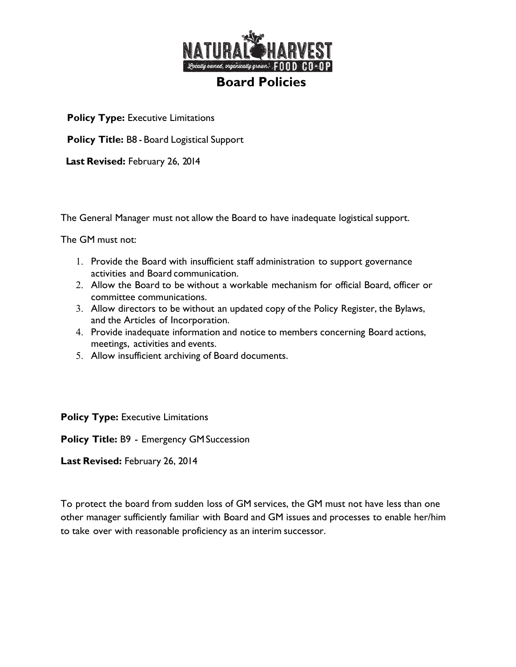

**Policy Title:** B8 - Board Logistical Support

**Last Revised:** February 26, 2014

The General Manager must not allow the Board to have inadequate logistical support.

The GM must not:

- 1. Provide the Board with insufficient staff administration to support governance activities and Board communication.
- 2. Allow the Board to be without a workable mechanism for official Board, officer or committee communications.
- 3. Allow directors to be without an updated copy of the Policy Register, the Bylaws, and the Articles of Incorporation.
- 4. Provide inadequate information and notice to members concerning Board actions, meetings, activities and events.
- 5. Allow insufficient archiving of Board documents.

**Policy Type: Executive Limitations** 

**Policy Title:** B9 - Emergency GMSuccession

**Last Revised:** February 26, 2014

To protect the board from sudden loss of GM services, the GM must not have less than one other manager sufficiently familiar with Board and GM issues and processes to enable her/him to take over with reasonable proficiency as an interim successor.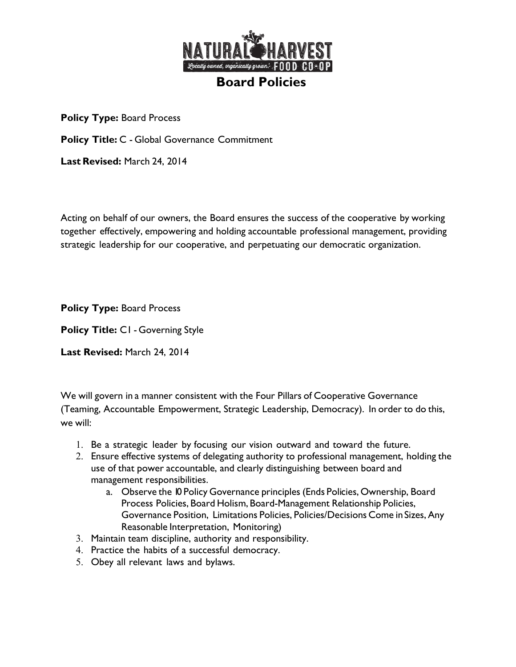

**Policy Title:** C - Global Governance Commitment

**Last Revised:** March 24, 2014

Acting on behalf of our owners, the Board ensures the success of the cooperative by working together effectively, empowering and holding accountable professional management, providing strategic leadership for our cooperative, and perpetuating our democratic organization.

**Policy Type:** Board Process

**Policy Title:** C1 - Governing Style

**Last Revised:** March 24, 2014

We will govern in a manner consistent with the Four Pillars of Cooperative Governance (Teaming, Accountable Empowerment, Strategic Leadership, Democracy). In order to do this, we will:

- 1. Be a strategic leader by focusing our vision outward and toward the future.
- 2. Ensure effective systems of delegating authority to professional management, holding the use of that power accountable, and clearly distinguishing between board and management responsibilities.
	- a. Observe the 10 Policy Governance principles (Ends Policies, Ownership, Board Process Policies, Board Holism, Board-Management Relationship Policies, Governance Position, Limitations Policies, Policies/Decisions Come in Sizes,Any Reasonable Interpretation, Monitoring)
- 3. Maintain team discipline, authority and responsibility.
- 4. Practice the habits of a successful democracy.
- 5. Obey all relevant laws and bylaws.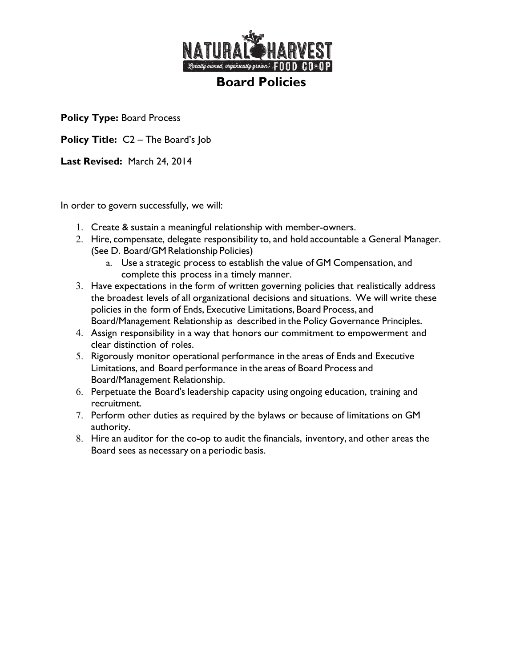

**Policy Title:** C2 – The Board's Job

**Last Revised:** March 24, 2014

In order to govern successfully, we will:

- 1. Create & sustain a meaningful relationship with member-owners.
- 2. Hire, compensate, delegate responsibility to, and hold accountable a General Manager. (See D. Board/GM Relationship Policies)
	- a. Use a strategic process to establish the value of GM Compensation, and complete this process in a timely manner.
- 3. Have expectations in the form of written governing policies that realistically address the broadest levels of all organizational decisions and situations. We will write these policies in the form of Ends, Executive Limitations, Board Process, and Board/Management Relationship as described in the Policy Governance Principles.
- 4. Assign responsibility in a way that honors our commitment to empowerment and clear distinction of roles.
- 5. Rigorously monitor operational performance in the areas of Ends and Executive Limitations, and Board performance in the areas of Board Process and Board/Management Relationship.
- 6. Perpetuate the Board's leadership capacity using ongoing education, training and recruitment.
- 7. Perform other duties as required by the bylaws or because of limitations on GM authority.
- 8. Hire an auditor for the co-op to audit the financials, inventory, and other areas the Board sees as necessary on a periodic basis.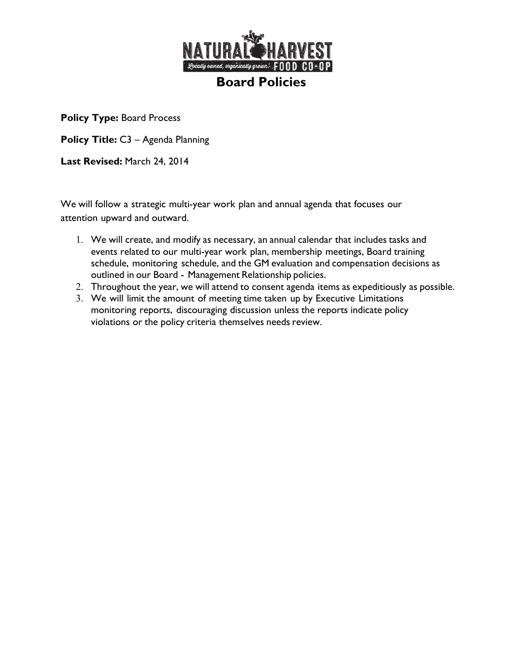

**Policy Title:** C3 – Agenda Planning

**Last Revised:** March 24, 2014

We will follow a strategic multi-year work plan and annual agenda that focuses our attention upward and outward.

- 1. We will create, and modify as necessary, an annual calendar that includes tasks and events related to our multi-year work plan, membership meetings, Board training schedule, monitoring schedule, and the GM evaluation and compensation decisions as outlined in our Board - Management Relationship policies.
- 2. Throughout the year, we will attend to consent agenda items as expeditiously as possible.
- 3. We will limit the amount of meeting time taken up by Executive Limitations monitoring reports, discouraging discussion unless the reports indicate policy violations or the policy criteria themselves needs review.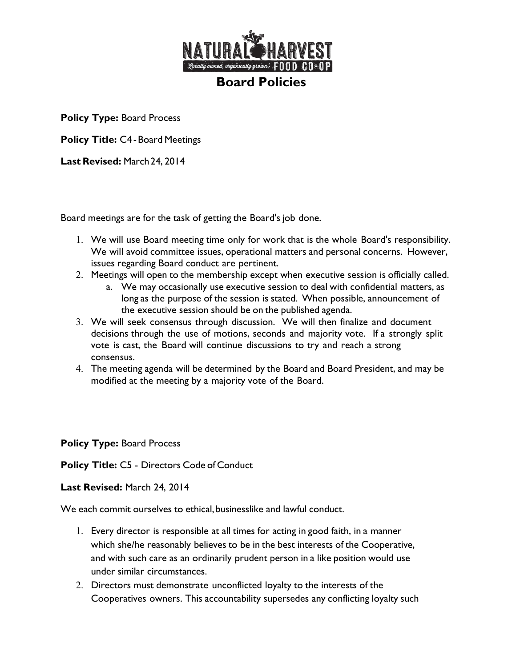

**Policy Title: C4 - Board Meetings** 

**Last Revised:** March24, 2014

Board meetings are for the task of getting the Board's job done.

- 1. We will use Board meeting time only for work that is the whole Board's responsibility. We will avoid committee issues, operational matters and personal concerns. However, issues regarding Board conduct are pertinent.
- 2. Meetings will open to the membership except when executive session is officially called.
	- a. We may occasionally use executive session to deal with confidential matters, as long as the purpose of the session is stated. When possible, announcement of the executive session should be on the published agenda.
- 3. We will seek consensus through discussion. We will then finalize and document decisions through the use of motions, seconds and majority vote. If a strongly split vote is cast, the Board will continue discussions to try and reach a strong consensus.
- 4. The meeting agenda will be determined by the Board and Board President, and may be modified at the meeting by a majority vote of the Board.

**Policy Type:** Board Process

**Policy Title:** C5 - Directors Code of Conduct

## **Last Revised:** March 24, 2014

We each commit ourselves to ethical, businesslike and lawful conduct.

- 1. Every director is responsible at all times for acting in good faith, in a manner which she/he reasonably believes to be in the best interests of the Cooperative, and with such care as an ordinarily prudent person in a like position would use under similar circumstances.
- 2. Directors must demonstrate unconflicted loyalty to the interests of the Cooperatives owners. This accountability supersedes any conflicting loyalty such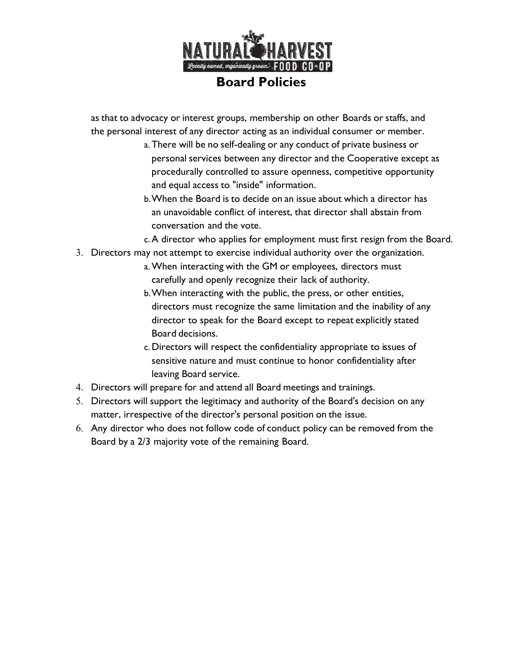

as that to advocacy or interest groups, membership on other Boards or staffs, and the personal interest of any director acting as an individual consumer or member.

- a. There will be no self-dealing or any conduct of private business or personal services between any director and the Cooperative except as procedurally controlled to assure openness, competitive opportunity and equal access to "inside" information.
- b.When the Board is to decide on an issue about which a director has an unavoidable conflict of interest, that director shall abstain from conversation and the vote.
- c.A director who applies for employment must first resign from the Board.
- 3. Directors may not attempt to exercise individual authority over the organization.
	- a.When interacting with the GM or employees, directors must carefully and openly recognize their lack of authority.
	- b.When interacting with the public, the press, or other entities, directors must recognize the same limitation and the inability of any director to speak for the Board except to repeat explicitly stated Board decisions.
	- c.Directors will respect the confidentiality appropriate to issues of sensitive nature and must continue to honor confidentiality after leaving Board service.
- 4. Directors will prepare for and attend all Board meetings and trainings.
- 5. Directors will support the legitimacy and authority of the Board's decision on any matter, irrespective of the director's personal position on the issue.
- 6. Any director who does not follow code of conduct policy can be removed from the Board by a 2/3 majority vote of the remaining Board.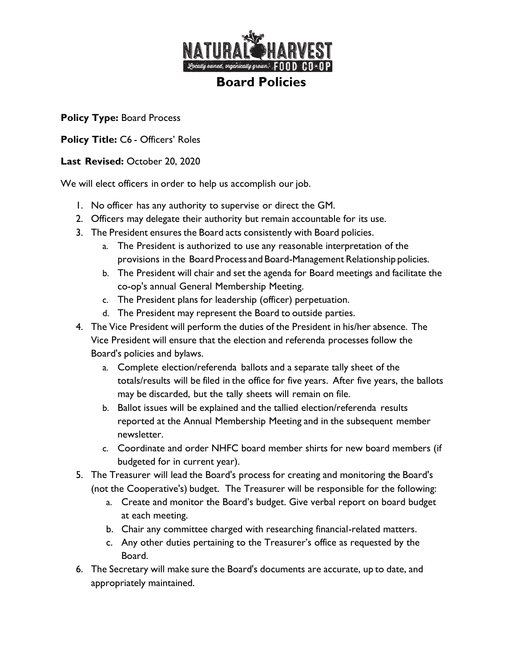

**Policy Title:** C6 - Officers' Roles

## **Last Revised:** October 20, 2020

We will elect officers in order to help us accomplish our job.

- 1. No officer has any authority to supervise or direct the GM.
- 2. Officers may delegate their authority but remain accountable for its use.
- 3. The President ensures the Board acts consistently with Board policies.
	- a. The President is authorized to use any reasonable interpretation of the provisions in the Board Process and Board-Management Relationship policies.
	- b. The President will chair and set the agenda for Board meetings and facilitate the co-op's annual General Membership Meeting.
	- c. The President plans for leadership (officer) perpetuation.
	- d. The President may represent the Board to outside parties.
- 4. The Vice President will perform the duties of the President in his/her absence. The Vice President will ensure that the election and referenda processes follow the Board's policies and bylaws.
	- a. Complete election/referenda ballots and a separate tally sheet of the totals/results will be filed in the office for five years. After five years, the ballots may be discarded, but the tally sheets will remain on file.
	- b. Ballot issues will be explained and the tallied election/referenda results reported at the Annual Membership Meeting and in the subsequent member newsletter.
	- c. Coordinate and order NHFC board member shirts for new board members (if budgeted for in current year).
- 5. The Treasurer will lead the Board's process for creating and monitoring the Board's (not the Cooperative's) budget. The Treasurer will be responsible for the following:
	- a. Create and monitor the Board's budget. Give verbal report on board budget at each meeting.
	- b. Chair any committee charged with researching financial-related matters.
	- c. Any other duties pertaining to the Treasurer's office as requested by the Board.
- 6. The Secretary will make sure the Board's documents are accurate, up to date, and appropriately maintained.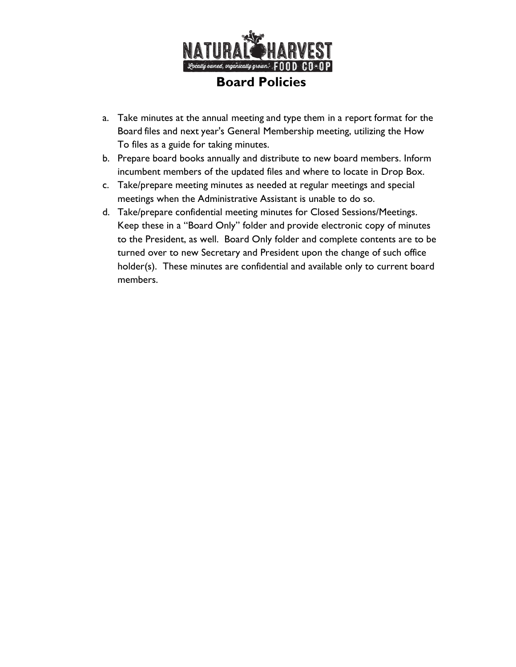

- a. Take minutes at the annual meeting and type them in a report format for the Board files and next year's General Membership meeting, utilizing the How To files as a guide for taking minutes.
- b. Prepare board books annually and distribute to new board members. Inform incumbent members of the updated files and where to locate in Drop Box.
- c. Take/prepare meeting minutes as needed at regular meetings and special meetings when the Administrative Assistant is unable to do so.
- d. Take/prepare confidential meeting minutes for Closed Sessions/Meetings. Keep these in a "Board Only" folder and provide electronic copy of minutes to the President, as well. Board Only folder and complete contents are to be turned over to new Secretary and President upon the change of such office holder(s). These minutes are confidential and available only to current board members.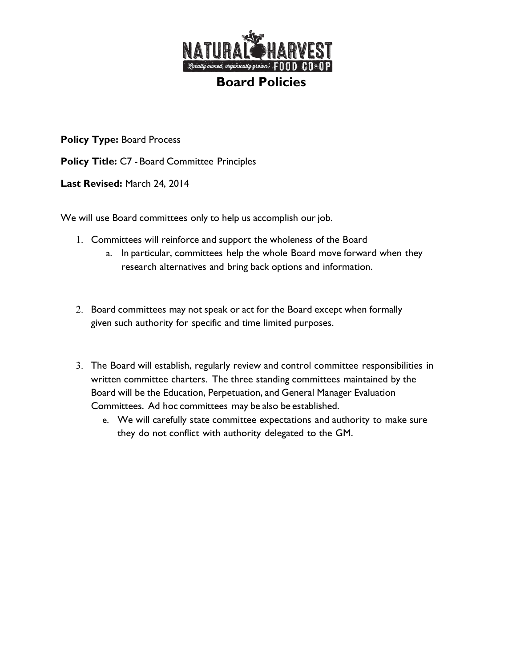

**Policy Title:** C7 - Board Committee Principles

**Last Revised:** March 24, 2014

We will use Board committees only to help us accomplish our job.

- 1. Committees will reinforce and support the wholeness of the Board
	- a. In particular, committees help the whole Board move forward when they research alternatives and bring back options and information.
- 2. Board committees may not speak or act for the Board except when formally given such authority for specific and time limited purposes.
- 3. The Board will establish, regularly review and control committee responsibilities in written committee charters. The three standing committees maintained by the Board will be the Education, Perpetuation, and General Manager Evaluation Committees. Ad hoc committees may be also be established.
	- e. We will carefully state committee expectations and authority to make sure they do not conflict with authority delegated to the GM.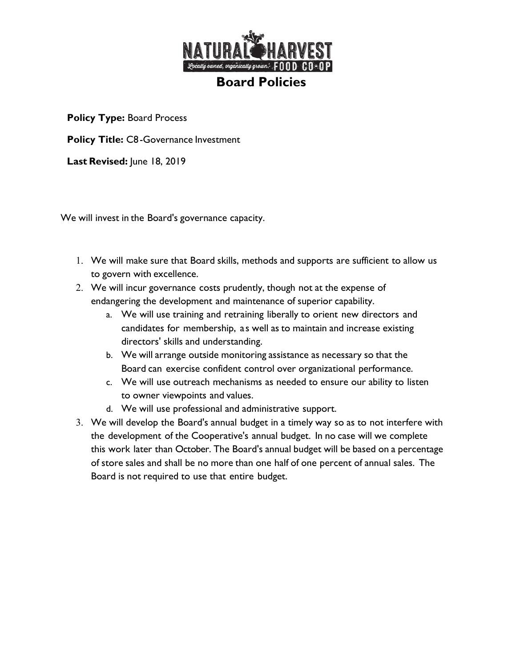

**Policy Title:** C8-Governance Investment

**Last Revised:** June 18, 2019

We will invest in the Board's governance capacity.

- 1. We will make sure that Board skills, methods and supports are sufficient to allow us to govern with excellence.
- 2. We will incur governance costs prudently, though not at the expense of endangering the development and maintenance of superior capability.
	- a. We will use training and retraining liberally to orient new directors and candidates for membership, a s well as to maintain and increase existing directors' skills and understanding.
	- b. We will arrange outside monitoring assistance as necessary so that the Board can exercise confident control over organizational performance.
	- c. We will use outreach mechanisms as needed to ensure our ability to listen to owner viewpoints and values.
	- d. We will use professional and administrative support.
- 3. We will develop the Board's annual budget in a timely way so as to not interfere with the development of the Cooperative's annual budget. In no case will we complete this work later than October. The Board's annual budget will be based on a percentage of store sales and shall be no more than one half of one percent of annual sales. The Board is not required to use that entire budget.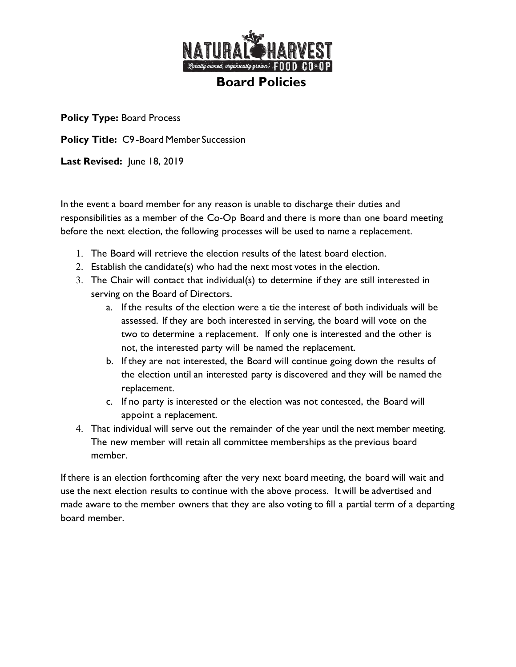

**Policy Title:** C9 -Board Member Succession

**Last Revised:** June 18, 2019

In the event a board member for any reason is unable to discharge their duties and responsibilities as a member of the Co-Op Board and there is more than one board meeting before the next election, the following processes will be used to name a replacement.

- 1. The Board will retrieve the election results of the latest board election.
- 2. Establish the candidate(s) who had the next most votes in the election.
- 3. The Chair will contact that individual(s) to determine if they are still interested in serving on the Board of Directors.
	- a. If the results of the election were a tie the interest of both individuals will be assessed. If they are both interested in serving, the board will vote on the two to determine a replacement. If only one is interested and the other is not, the interested party will be named the replacement.
	- b. If they are not interested, the Board will continue going down the results of the election until an interested party is discovered and they will be named the replacement.
	- c. If no party is interested or the election was not contested, the Board will appoint a replacement.
- 4. That individual will serve out the remainder of the year until the next member meeting. The new member will retain all committee memberships as the previous board member.

If there is an election forthcoming after the very next board meeting, the board will wait and use the next election results to continue with the above process. It will be advertised and made aware to the member owners that they are also voting to fill a partial term of a departing board member.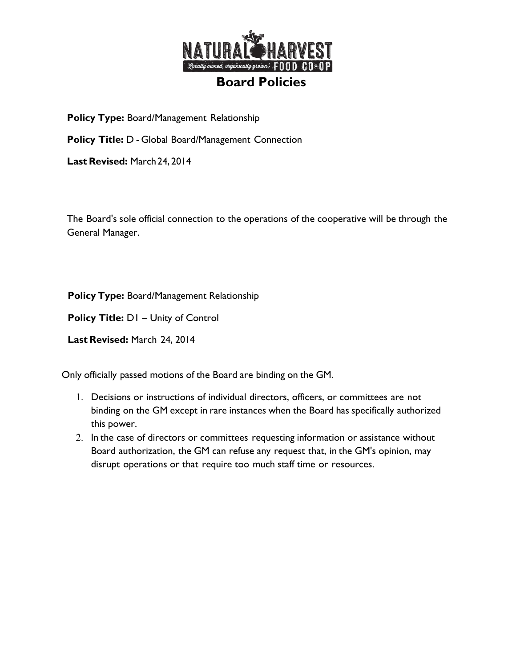

**Policy Type:** Board/Management Relationship

**Policy Title:** D - Global Board/Management Connection

**Last Revised:** March24, 2014

The Board's sole official connection to the operations of the cooperative will be through the General Manager.

**Policy Type:** Board/Management Relationship

**Policy Title:** D1 – Unity of Control

**Last Revised:** March 24, 2014

Only officially passed motions of the Board are binding on the GM.

- 1. Decisions or instructions of individual directors, officers, or committees are not binding on the GM except in rare instances when the Board has specifically authorized this power.
- 2. In the case of directors or committees requesting information or assistance without Board authorization, the GM can refuse any request that, in the GM's opinion, may disrupt operations or that require too much staff time or resources.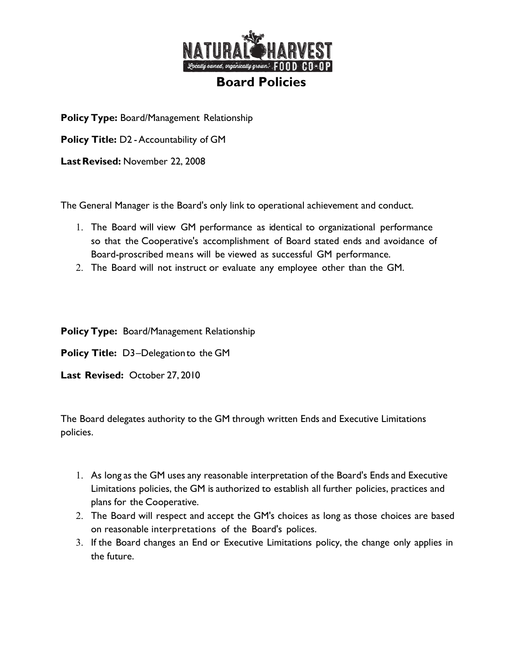

**Policy Type:** Board/Management Relationship

**Policy Title:** D2 -Accountability of GM

Last Revised: November 22, 2008

The General Manager is the Board's only link to operational achievement and conduct.

- 1. The Board will view GM performance as identical to organizational performance so that the Cooperative's accomplishment of Board stated ends and avoidance of Board-proscribed means will be viewed as successful GM performance.
- 2. The Board will not instruct or evaluate any employee other than the GM.

**Policy Type:** Board/Management Relationship

**Policy Title:** D3–Delegationto the GM

**Last Revised:** October 27, 2010

The Board delegates authority to the GM through written Ends and Executive Limitations policies.

- 1. As long as the GM uses any reasonable interpretation of the Board's Ends and Executive Limitations policies, the GM is authorized to establish all further policies, practices and plans for the Cooperative.
- 2. The Board will respect and accept the GM's choices as long as those choices are based on reasonable interpretations of the Board's polices.
- 3. If the Board changes an End or Executive Limitations policy, the change only applies in the future.